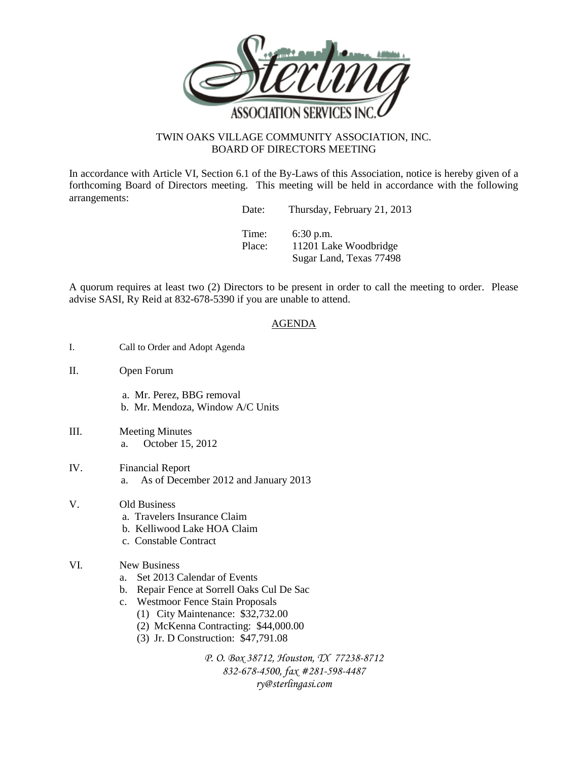

## TWIN OAKS VILLAGE COMMUNITY ASSOCIATION, INC. BOARD OF DIRECTORS MEETING

In accordance with Article VI, Section 6.1 of the By-Laws of this Association, notice is hereby given of a forthcoming Board of Directors meeting. This meeting will be held in accordance with the following arrangements:

| Date:           | Thursday, February 21, 2013          |
|-----------------|--------------------------------------|
| Time:<br>Place: | $6:30$ p.m.<br>11201 Lake Woodbridge |
|                 | Sugar Land, Texas 77498              |

A quorum requires at least two (2) Directors to be present in order to call the meeting to order. Please advise SASI, Ry Reid at 832-678-5390 if you are unable to attend.

## AGENDA

- I. Call to Order and Adopt Agenda
- II. Open Forum
	- a. Mr. Perez, BBG removal b. Mr. Mendoza, Window A/C Units
- III. Meeting Minutes a. October 15, 2012
- IV. Financial Report a. As of December 2012 and January 2013
- V. Old Business
	- a. Travelers Insurance Claim
	- b. Kelliwood Lake HOA Claim
	- c. Constable Contract

## VI. New Business

- a. Set 2013 Calendar of Events
- b. Repair Fence at Sorrell Oaks Cul De Sac
- c. Westmoor Fence Stain Proposals
	- (1) City Maintenance: \$32,732.00
	- (2) McKenna Contracting: \$44,000.00
	- (3) Jr. D Construction: \$47,791.08

*P. O. Box 38712, Houston, TX 77238-8712 832-678-4500, fax #281-598-4487 ry@sterlingasi.com*